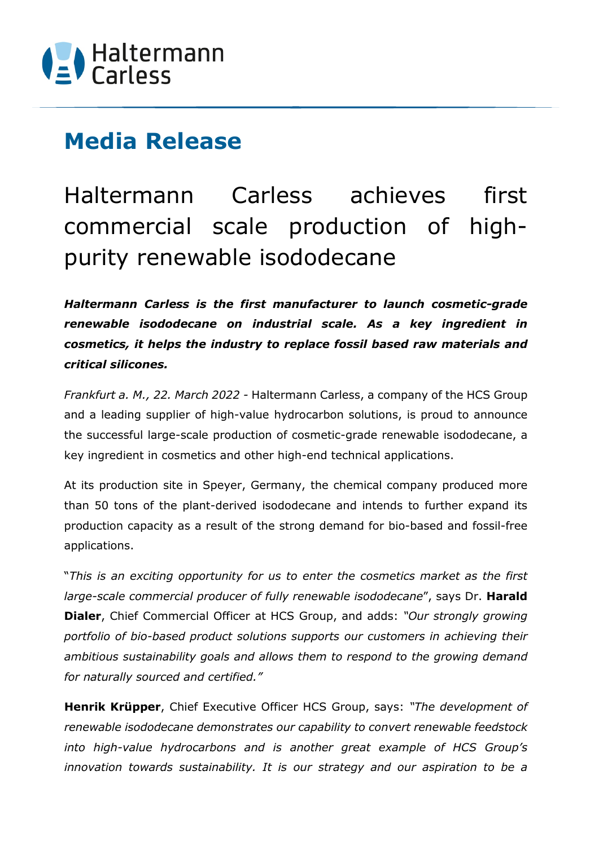

## **Media Release**

Haltermann Carless achieves first commercial scale production of highpurity renewable isododecane

*Haltermann Carless is the first manufacturer to launch cosmetic-grade renewable isododecane on industrial scale. As a key ingredient in cosmetics, it helps the industry to replace fossil based raw materials and critical silicones.* 

*Frankfurt a. M., 22. March 2022 -* Haltermann Carless, a company of the HCS Group and a leading supplier of high-value hydrocarbon solutions, is proud to announce the successful large-scale production of cosmetic-grade renewable isododecane, a key ingredient in cosmetics and other high-end technical applications.

At its production site in Speyer, Germany, the chemical company produced more than 50 tons of the plant-derived isododecane and intends to further expand its production capacity as a result of the strong demand for bio-based and fossil-free applications.

"*This is an exciting opportunity for us to enter the cosmetics market as the first large-scale commercial producer of fully renewable isododecane*", says Dr. **Harald Dialer**, Chief Commercial Officer at HCS Group, and adds: *"Our strongly growing portfolio of bio-based product solutions supports our customers in achieving their ambitious sustainability goals and allows them to respond to the growing demand for naturally sourced and certified."* 

**Henrik Krüpper**, Chief Executive Officer HCS Group, says: *"The development of renewable isododecane demonstrates our capability to convert renewable feedstock into high-value hydrocarbons and is another great example of HCS Group's innovation towards sustainability. It is our strategy and our aspiration to be a*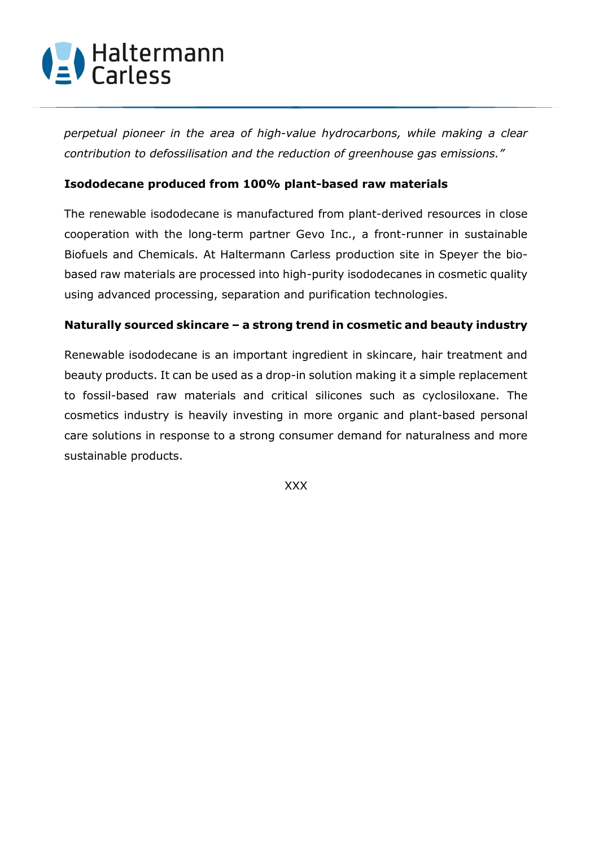# (2) Haltermann

*perpetual pioneer in the area of high-value hydrocarbons, while making a clear contribution to defossilisation and the reduction of greenhouse gas emissions."*

#### **Isododecane produced from 100% plant-based raw materials**

The renewable isododecane is manufactured from plant-derived resources in close cooperation with the long-term partner Gevo Inc., a front-runner in sustainable Biofuels and Chemicals. At Haltermann Carless production site in Speyer the biobased raw materials are processed into high-purity isododecanes in cosmetic quality using advanced processing, separation and purification technologies.

#### **Naturally sourced skincare – a strong trend in cosmetic and beauty industry**

Renewable isododecane is an important ingredient in skincare, hair treatment and beauty products. It can be used as a drop-in solution making it a simple replacement to fossil-based raw materials and critical silicones such as cyclosiloxane. The cosmetics industry is heavily investing in more organic and plant-based personal care solutions in response to a strong consumer demand for naturalness and more sustainable products.

XXX